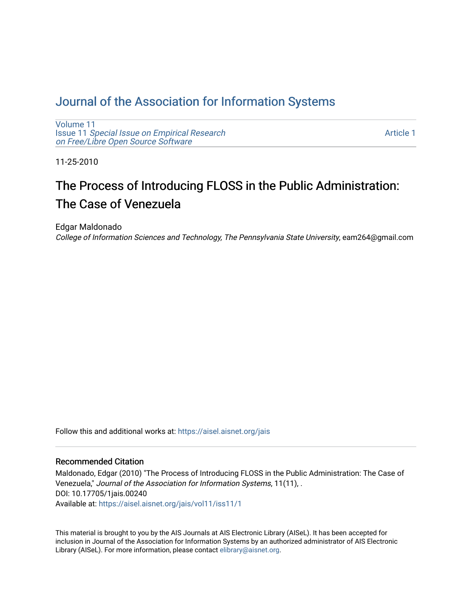# [Journal of the Association for Information Systems](https://aisel.aisnet.org/jais)

[Volume 11](https://aisel.aisnet.org/jais/vol11) Issue 11 [Special Issue on Empirical Research](https://aisel.aisnet.org/jais/vol11/iss11) [on Free/Libre Open Source Software](https://aisel.aisnet.org/jais/vol11/iss11) 

[Article 1](https://aisel.aisnet.org/jais/vol11/iss11/1) 

11-25-2010

# The Process of Introducing FLOSS in the Public Administration: The Case of Venezuela

Edgar Maldonado

College of Information Sciences and Technology, The Pennsylvania State University, eam264@gmail.com

Follow this and additional works at: https://aisel.aisnet.org/jais

#### Recommended Citation

Maldonado, Edgar (2010) "The Process of Introducing FLOSS in the Public Administration: The Case of Venezuela," Journal of the Association for Information Systems, 11(11), . DOI: 10.17705/1jais.00240 Available at: [https://aisel.aisnet.org/jais/vol11/iss11/1](https://aisel.aisnet.org/jais/vol11/iss11/1?utm_source=aisel.aisnet.org%2Fjais%2Fvol11%2Fiss11%2F1&utm_medium=PDF&utm_campaign=PDFCoverPages) 

This material is brought to you by the AIS Journals at AIS Electronic Library (AISeL). It has been accepted for inclusion in Journal of the Association for Information Systems by an authorized administrator of AIS Electronic Library (AISeL). For more information, please contact [elibrary@aisnet.org.](mailto:elibrary@aisnet.org%3E)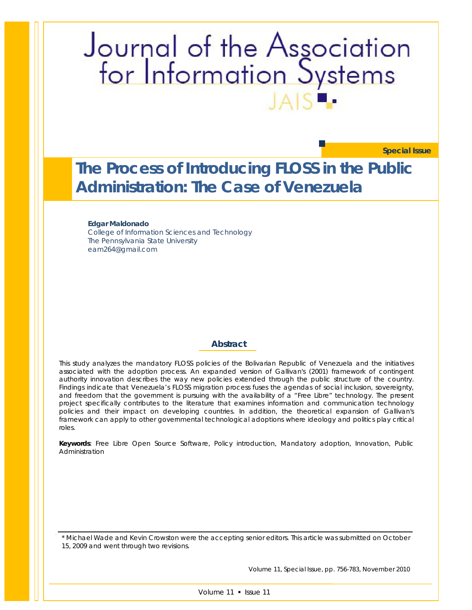# Journal of the Association<br>for Information Systems

**Special Issue**

# **The Process of Introducing FLOSS in the Public Administration: The Case of Venezuela**

#### **Edgar Maldonado**

College of Information Sciences and Technology The Pennsylvania State University eam264@gmail.com

#### **Abstract**

*This study analyzes the mandatory FLOSS policies of the Bolivarian Republic of Venezuela and the initiatives*  associated with the adoption process. An expanded version of Gallivan's (2001) framework of contingent *authority innovation describes the way new policies extended through the public structure of the country. Findings indicate that Venezuela's FLOSS migration process fuses the agendas of social inclusion, sovereignty, and freedom that the government is pursuing with the availability of a "Free Libre" technology. The present project specifically contributes to the literature that examines information and communication technology*  policies and their impact on developing countries. In addition, the theoretical expansion of Gallivan's framework can apply to other governmental technological adoptions where ideology and politics play critical *roles.*

*Keywords: Free Libre Open Source Software, Policy introduction, Mandatory adoption, Innovation, Public Administration*

\* Michael Wade and Kevin Crowston were the accepting senior editors. This article was submitted on October 15, 2009 and went through two revisions.

Volume 11, Special Issue, pp. 756-783, *November* 2010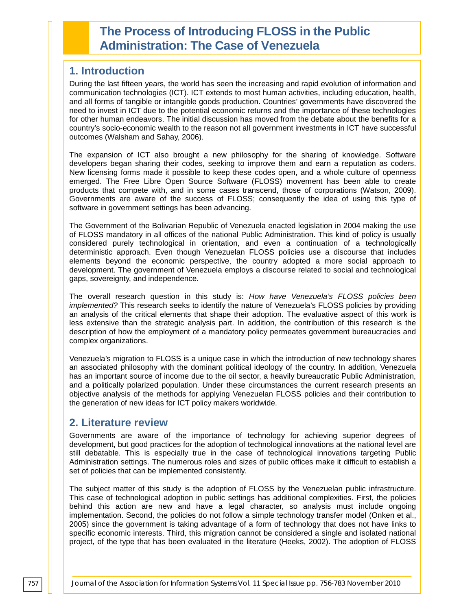# **The Process of Introducing FLOSS in the Public Administration: The Case of Venezuela**

# **1. Introduction**

During the last fifteen years, the world has seen the increasing and rapid evolution of information and communication technologies (ICT). ICT extends to most human activities, including education, health, and all forms of tangible or intangible goods production. Countries' governments have discovered the need to invest in ICT due to the potential economic returns and the importance of these technologies for other human endeavors. The initial discussion has moved from the debate about the benefits for a country's socio-economic wealth to the reason not all government investments in ICT have successful outcomes (Walsham and Sahay, 2006).

The expansion of ICT also brought a new philosophy for the sharing of knowledge. Software developers began sharing their codes, seeking to improve them and earn a reputation as coders. New licensing forms made it possible to keep these codes open, and a whole culture of openness emerged. The Free Libre Open Source Software (FLOSS) movement has been able to create products that compete with, and in some cases transcend, those of corporations (Watson, 2009). Governments are aware of the success of FLOSS; consequently the idea of using this type of software in government settings has been advancing.

The Government of the Bolivarian Republic of Venezuela enacted legislation in 2004 making the use of FLOSS mandatory in all offices of the national Public Administration. This kind of policy is usually considered purely technological in orientation, and even a continuation of a technologically deterministic approach. Even though Venezuelan FLOSS policies use a discourse that includes elements beyond the economic perspective, the country adopted a more social approach to development. The government of Venezuela employs a discourse related to social and technological gaps, sovereignty, and independence.

The overall research question in this study is: *How have Venezuela's FLOSS policies been implemented?* This research seeks to identify the nature of Venezuela's FLOSS policies by providing an analysis of the critical elements that shape their adoption. The evaluative aspect of this work is less extensive than the strategic analysis part. In addition, the contribution of this research is the description of how the employment of a mandatory policy permeates government bureaucracies and complex organizations.

Venezuela's migration to FLOSS is a unique case in which the introduction of new technology shares an associated philosophy with the dominant political ideology of the country. In addition, Venezuela has an important source of income due to the oil sector, a heavily bureaucratic Public Administration, and a politically polarized population. Under these circumstances the current research presents an objective analysis of the methods for applying Venezuelan FLOSS policies and their contribution to the generation of new ideas for ICT policy makers worldwide.

# **2. Literature review**

Governments are aware of the importance of technology for achieving superior degrees of development, but good practices for the adoption of technological innovations at the national level are still debatable. This is especially true in the case of technological innovations targeting Public Administration settings. The numerous roles and sizes of public offices make it difficult to establish a set of policies that can be implemented consistently.

The subject matter of this study is the adoption of FLOSS by the Venezuelan public infrastructure. This case of technological adoption in public settings has additional complexities. First, the policies behind this action are new and have a legal character, so analysis must include ongoing implementation. Second, the policies do not follow a simple technology transfer model (Onken et al., 2005) since the government is taking advantage of a form of technology that does not have links to specific economic interests. Third, this migration cannot be considered a single and isolated national project, of the type that has been evaluated in the literature (Heeks, 2002). The adoption of FLOSS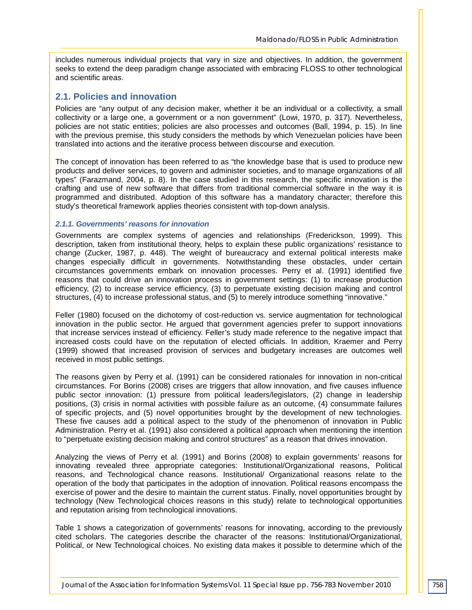includes numerous individual projects that vary in size and objectives. In addition, the government seeks to extend the deep paradigm change associated with embracing FLOSS to other technological and scientific areas.

#### **2.1. Policies and innovation**

Policies are "any output of any decision maker, whether it be an individual or a collectivity, a small collectivity or a large one, a government or a non government" (Lowi, 1970, p. 317). Nevertheless, policies are not static entities; policies are also processes and outcomes (Ball, 1994, p. 15). In line with the previous premise, this study considers the methods by which Venezuelan policies have been translated into actions and the iterative process between discourse and execution.

The concept of innovation has been referred to as "the knowledge base that is used to produce new products and deliver services, to govern and administer societies, and to manage organizations of all types" (Farazmand, 2004, p. 8). In the case studied in this research, the specific innovation is the crafting and use of new software that differs from traditional commercial software in the way it is programmed and distributed. Adoption of this software has a mandatory character; therefore this study's theoretical framework applies theories consistent with top-down analysis.

#### *2.1.1. Governments' reasons for innovation*

Governments are complex systems of agencies and relationships (Frederickson, 1999). This description, taken from institutional theory, helps to explain these public organizations' resistance to change (Zucker, 1987, p. 448). The weight of bureaucracy and external political interests make changes especially difficult in governments. Notwithstanding these obstacles, under certain circumstances governments embark on innovation processes. Perry et al. (1991) identified five reasons that could drive an innovation process in government settings: (1) to increase production efficiency, (2) to increase service efficiency, (3) to perpetuate existing decision making and control structures, (4) to increase professional status, and (5) to merely introduce something "innovative."

Feller (1980) focused on the dichotomy of cost-reduction vs. service augmentation for technological innovation in the public sector. He argued that government agencies prefer to support innovations that increase services instead of efficiency. Feller's study made reference to the negative impact that increased costs could have on the reputation of elected officials. In addition, Kraemer and Perry (1999) showed that increased provision of services and budgetary increases are outcomes well received in most public settings.

The reasons given by Perry et al. (1991) can be considered rationales for innovation in non-critical circumstances. For Borins (2008) crises are triggers that allow innovation, and five causes influence public sector innovation: (1) pressure from political leaders/legislators, (2) change in leadership positions, (3) crisis in normal activities with possible failure as an outcome, (4) consummate failures of specific projects, and (5) novel opportunities brought by the development of new technologies. These five causes add a political aspect to the study of the phenomenon of innovation in Public Administration. Perry et al. (1991) also considered a political approach when mentioning the intention to "perpetuate existing decision making and control structures" as a reason that drives innovation.

Analyzing the views of Perry et al. (1991) and Borins (2008) to explain governments' reasons for innovating revealed three appropriate categories: Institutional/Organizational reasons, Political reasons, and Technological chance reasons. Institutional/ Organizational reasons relate to the operation of the body that participates in the adoption of innovation. Political reasons encompass the exercise of power and the desire to maintain the current status. Finally, novel opportunities brought by technology (New Technological choices reasons in this study) relate to technological opportunities and reputation arising from technological innovations.

Table 1 shows a categorization of governments' reasons for innovating, according to the previously cited scholars. The categories describe the character of the reasons: Institutional/Organizational, Political, or New Technological choices. No existing data makes it possible to determine which of the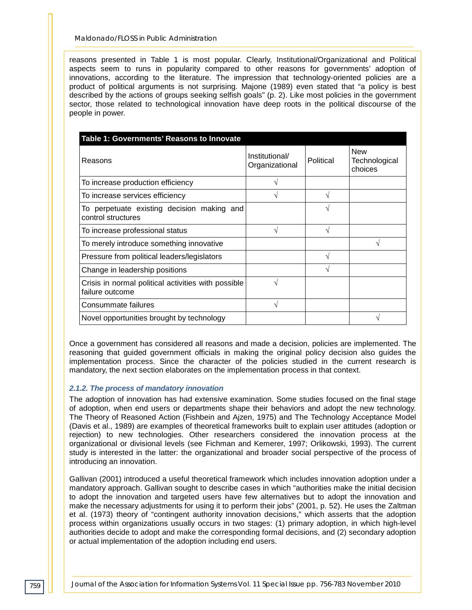reasons presented in Table 1 is most popular. Clearly, Institutional/Organizational and Political aspects seem to runs in popularity compared to other reasons for governments' adoption of innovations, according to the literature. The impression that technology-oriented policies are a product of political arguments is not surprising. Majone (1989) even stated that "a policy is best described by the actions of groups seeking selfish goals" (p. 2). Like most policies in the government sector, those related to technological innovation have deep roots in the political discourse of the people in power.

| Table 1: Governments' Reasons to Innovate                              |                                  |               |                                        |  |  |
|------------------------------------------------------------------------|----------------------------------|---------------|----------------------------------------|--|--|
| Reasons                                                                | Institutional/<br>Organizational | Political     | <b>New</b><br>Technological<br>choices |  |  |
| To increase production efficiency                                      |                                  |               |                                        |  |  |
| To increase services efficiency                                        |                                  | $\mathcal{L}$ |                                        |  |  |
| To perpetuate existing decision making and<br>control structures       |                                  | 1             |                                        |  |  |
| To increase professional status                                        |                                  | N             |                                        |  |  |
| To merely introduce something innovative                               |                                  |               |                                        |  |  |
| Pressure from political leaders/legislators                            |                                  | N             |                                        |  |  |
| Change in leadership positions                                         |                                  | ٦             |                                        |  |  |
| Crisis in normal political activities with possible<br>failure outcome |                                  |               |                                        |  |  |
| Consummate failures                                                    |                                  |               |                                        |  |  |
| Novel opportunities brought by technology                              |                                  |               |                                        |  |  |

Once a government has considered all reasons and made a decision, policies are implemented. The reasoning that guided government officials in making the original policy decision also guides the implementation process. Since the character of the policies studied in the current research is mandatory, the next section elaborates on the implementation process in that context.

#### *2.1.2. The process of mandatory innovation*

The adoption of innovation has had extensive examination. Some studies focused on the final stage of adoption, when end users or departments shape their behaviors and adopt the new technology. The Theory of Reasoned Action (Fishbein and Ajzen, 1975) and The Technology Acceptance Model (Davis et al., 1989) are examples of theoretical frameworks built to explain user attitudes (adoption or rejection) to new technologies. Other researchers considered the innovation process at the organizational or divisional levels (see Fichman and Kemerer, 1997; Orlikowski, 1993). The current study is interested in the latter: the organizational and broader social perspective of the process of introducing an innovation.

Gallivan (2001) introduced a useful theoretical framework which includes innovation adoption under a mandatory approach. Gallivan sought to describe cases in which "authorities make the initial decision to adopt the innovation and targeted users have few alternatives but to adopt the innovation and make the necessary adjustments for using it to perform their jobs" (2001, p. 52). He uses the Zaltman et al. (1973) theory of "contingent authority innovation decisions," which asserts that the adoption process within organizations usually occurs in two stages: (1) primary adoption, in which high-level authorities decide to adopt and make the corresponding formal decisions, and (2) secondary adoption or actual implementation of the adoption including end users.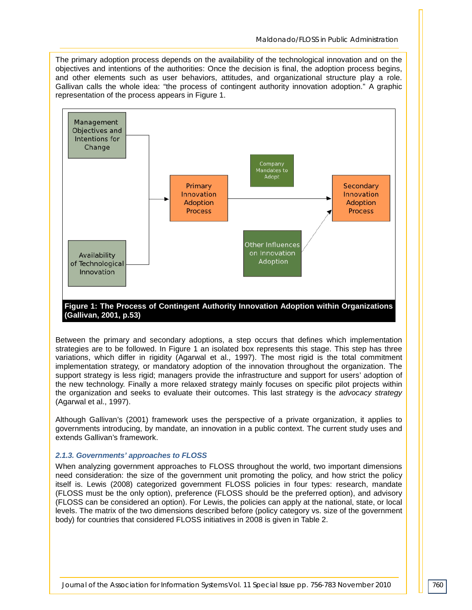The primary adoption process depends on the availability of the technological innovation and on the objectives and intentions of the authorities: Once the decision is final, the adoption process begins, and other elements such as user behaviors, attitudes, and organizational structure play a role. Gallivan calls the whole idea: "the process of contingent authority innovation adoption." A graphic representation of the process appears in Figure 1.



Between the primary and secondary adoptions, a step occurs that defines which implementation strategies are to be followed. In Figure 1 an isolated box represents this stage. This step has three variations, which differ in rigidity (Agarwal et al., 1997). The most rigid is the total commitment implementation strategy, or mandatory adoption of the innovation throughout the organization. The support strategy is less rigid; managers provide the infrastructure and support for users' adoption of the new technology. Finally a more relaxed strategy mainly focuses on specific pilot projects within the organization and seeks to evaluate their outcomes. This last strategy is the *advocacy strategy*  (Agarwal et al., 1997).

Although Gallivan's (2001) framework uses the perspective of a private organization, it applies to governments introducing, by mandate, an innovation in a public context. The current study uses and extends Gallivan's framework.

#### *2.1.3. Governments' approaches to FLOSS*

When analyzing government approaches to FLOSS throughout the world, two important dimensions need consideration: the size of the government unit promoting the policy, and how strict the policy itself is. Lewis (2008) categorized government FLOSS policies in four types: research, mandate (FLOSS must be the only option), preference (FLOSS should be the preferred option), and advisory (FLOSS can be considered an option). For Lewis, the policies can apply at the national, state, or local levels. The matrix of the two dimensions described before (policy category vs. size of the government body) for countries that considered FLOSS initiatives in 2008 is given in Table 2.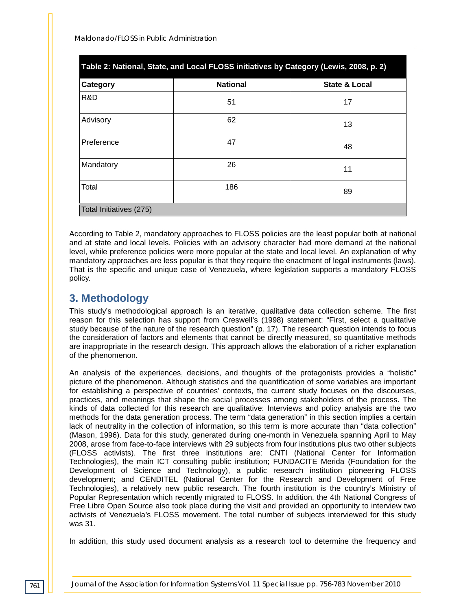*Maldonado/FLOSS in Public Administration*

| Category   | <b>National</b> | <b>State &amp; Local</b> |
|------------|-----------------|--------------------------|
| R&D        | 51              | 17                       |
| Advisory   | 62              | 13                       |
| Preference | 47              | 48                       |
| Mandatory  | 26              | 11                       |
| Total      | 186             | 89                       |

According to Table 2, mandatory approaches to FLOSS policies are the least popular both at national and at state and local levels. Policies with an advisory character had more demand at the national level, while preference policies were more popular at the state and local level. An explanation of why mandatory approaches are less popular is that they require the enactment of legal instruments (laws). That is the specific and unique case of Venezuela, where legislation supports a mandatory FLOSS policy.

# **3. Methodology**

This study's methodological approach is an iterative, qualitative data collection scheme. The first reason for this selection has support from Creswell's (1998) statement: "First, select a qualitative study because of the nature of the research question" (p. 17). The research question intends to focus the consideration of factors and elements that cannot be directly measured, so quantitative methods are inappropriate in the research design. This approach allows the elaboration of a richer explanation of the phenomenon.

An analysis of the experiences, decisions, and thoughts of the protagonists provides a "holistic" picture of the phenomenon. Although statistics and the quantification of some variables are important for establishing a perspective of countries' contexts, the current study focuses on the discourses, practices, and meanings that shape the social processes among stakeholders of the process. The kinds of data collected for this research are qualitative: Interviews and policy analysis are the two methods for the data generation process. The term "data generation" in this section implies a certain lack of neutrality in the collection of information, so this term is more accurate than "data collection" (Mason, 1996). Data for this study, generated during one-month in Venezuela spanning April to May 2008, arose from face-to-face interviews with 29 subjects from four institutions plus two other subjects (FLOSS activists). The first three institutions are: CNTI (National Center for Information Technologies), the main ICT consulting public institution; FUNDACITE Merida (Foundation for the Development of Science and Technology), a public research institution pioneering FLOSS development; and CENDITEL (National Center for the Research and Development of Free Technologies), a relatively new public research. The fourth institution is the country's Ministry of Popular Representation which recently migrated to FLOSS. In addition, the 4th National Congress of Free Libre Open Source also took place during the visit and provided an opportunity to interview two activists of Venezuela's FLOSS movement. The total number of subjects interviewed for this study was 31.

In addition, this study used document analysis as a research tool to determine the frequency and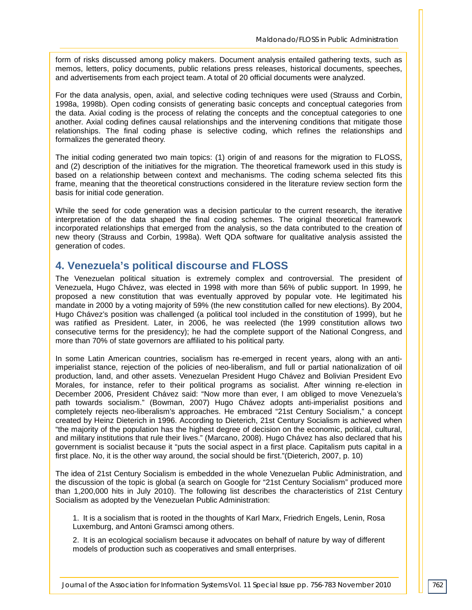form of risks discussed among policy makers. Document analysis entailed gathering texts, such as memos, letters, policy documents, public relations press releases, historical documents, speeches, and advertisements from each project team. A total of 20 official documents were analyzed.

For the data analysis, open, axial, and selective coding techniques were used (Strauss and Corbin, 1998a, 1998b). Open coding consists of generating basic concepts and conceptual categories from the data. Axial coding is the process of relating the concepts and the conceptual categories to one another. Axial coding defines causal relationships and the intervening conditions that mitigate those relationships. The final coding phase is selective coding, which refines the relationships and formalizes the generated theory.

The initial coding generated two main topics: (1) origin of and reasons for the migration to FLOSS, and (2) description of the initiatives for the migration. The theoretical framework used in this study is based on a relationship between context and mechanisms. The coding schema selected fits this frame, meaning that the theoretical constructions considered in the literature review section form the basis for initial code generation.

While the seed for code generation was a decision particular to the current research, the iterative interpretation of the data shaped the final coding schemes. The original theoretical framework incorporated relationships that emerged from the analysis, so the data contributed to the creation of new theory (Strauss and Corbin, 1998a). Weft QDA software for qualitative analysis assisted the generation of codes.

### **4. Venezuela's political discourse and FLOSS**

The Venezuelan political situation is extremely complex and controversial. The president of Venezuela, Hugo Chávez, was elected in 1998 with more than 56% of public support. In 1999, he proposed a new constitution that was eventually approved by popular vote. He legitimated his mandate in 2000 by a voting majority of 59% (the new constitution called for new elections). By 2004, Hugo Chávez's position was challenged (a political tool included in the constitution of 1999), but he was ratified as President. Later, in 2006, he was reelected (the 1999 constitution allows two consecutive terms for the presidency); he had the complete support of the National Congress, and more than 70% of state governors are affiliated to his political party.

In some Latin American countries, socialism has re-emerged in recent years, along with an antiimperialist stance, rejection of the policies of neo-liberalism, and full or partial nationalization of oil production, land, and other assets. Venezuelan President Hugo Chávez and Bolivian President Evo Morales, for instance, refer to their political programs as socialist. After winning re-election in December 2006, President Chávez said: "Now more than ever, I am obliged to move Venezuela's path towards socialism." (Bowman, 2007) Hugo Chávez adopts anti-imperialist positions and completely rejects neo-liberalism's approaches. He embraced "21st Century Socialism," a concept created by Heinz Dieterich in 1996. According to Dieterich, 21st Century Socialism is achieved when "the majority of the population has the highest degree of decision on the economic, political, cultural, and military institutions that rule their lives." (Marcano, 2008). Hugo Chávez has also declared that his government is socialist because it "puts the social aspect in a first place. Capitalism puts capital in a first place. No, it is the other way around, the social should be first."(Dieterich, 2007, p. 10)

The idea of 21st Century Socialism is embedded in the whole Venezuelan Public Administration, and the discussion of the topic is global (a search on Google for "21st Century Socialism" produced more than 1,200,000 hits in July 2010). The following list describes the characteristics of 21st Century Socialism as adopted by the Venezuelan Public Administration:

1. It is a socialism that is rooted in the thoughts of Karl Marx, Friedrich Engels, Lenin, Rosa Luxemburg, and Antoni Gramsci among others.

2. It is an ecological socialism because it advocates on behalf of nature by way of different models of production such as cooperatives and small enterprises.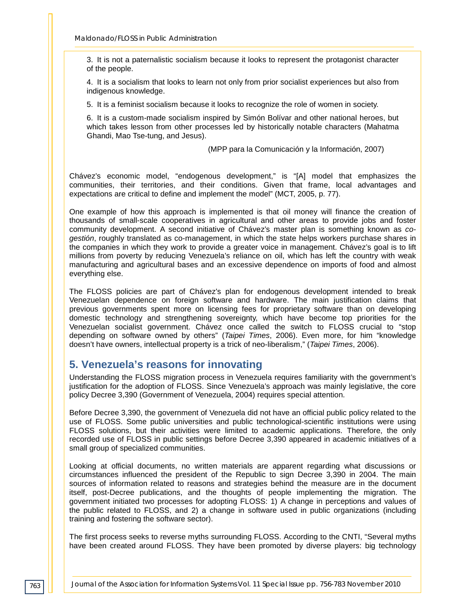3. It is not a paternalistic socialism because it looks to represent the protagonist character of the people.

4. It is a socialism that looks to learn not only from prior socialist experiences but also from indigenous knowledge.

5. It is a feminist socialism because it looks to recognize the role of women in society.

6. It is a custom-made socialism inspired by Simón Bolívar and other national heroes, but which takes lesson from other processes led by historically notable characters (Mahatma Ghandi, Mao Tse-tung, and Jesus).

(MPP para la Comunicación y la Información, 2007)

Chávez's economic model, "endogenous development," is "[A] model that emphasizes the communities, their territories, and their conditions. Given that frame, local advantages and expectations are critical to define and implement the model" (MCT, 2005, p. 77).

One example of how this approach is implemented is that oil money will finance the creation of thousands of small-scale cooperatives in agricultural and other areas to provide jobs and foster community development. A second initiative of Chávez's master plan is something known as *cogestión*, roughly translated as co-management, in which the state helps workers purchase shares in the companies in which they work to provide a greater voice in management. Chávez's goal is to lift millions from poverty by reducing Venezuela's reliance on oil, which has left the country with weak manufacturing and agricultural bases and an excessive dependence on imports of food and almost everything else.

The FLOSS policies are part of Chávez's plan for endogenous development intended to break Venezuelan dependence on foreign software and hardware. The main justification claims that previous governments spent more on licensing fees for proprietary software than on developing domestic technology and strengthening sovereignty, which have become top priorities for the Venezuelan socialist government. Chávez once called the switch to FLOSS crucial to "stop depending on software owned by others" (*Taipei Times*, 2006). Even more, for him "knowledge doesn't have owners, intellectual property is a trick of neo-liberalism," (*Taipei Times*, 2006).

# **5. Venezuela's reasons for innovating**

Understanding the FLOSS migration process in Venezuela requires familiarity with the government's justification for the adoption of FLOSS. Since Venezuela's approach was mainly legislative, the core policy Decree 3,390 (Government of Venezuela, 2004) requires special attention.

Before Decree 3,390, the government of Venezuela did not have an official public policy related to the use of FLOSS. Some public universities and public technological-scientific institutions were using FLOSS solutions, but their activities were limited to academic applications. Therefore, the only recorded use of FLOSS in public settings before Decree 3,390 appeared in academic initiatives of a small group of specialized communities.

Looking at official documents, no written materials are apparent regarding what discussions or circumstances influenced the president of the Republic to sign Decree 3,390 in 2004. The main sources of information related to reasons and strategies behind the measure are in the document itself, post-Decree publications, and the thoughts of people implementing the migration. The government initiated two processes for adopting FLOSS: 1) A change in perceptions and values of the public related to FLOSS, and 2) a change in software used in public organizations (including training and fostering the software sector).

The first process seeks to reverse myths surrounding FLOSS. According to the CNTI, "Several myths have been created around FLOSS. They have been promoted by diverse players: big technology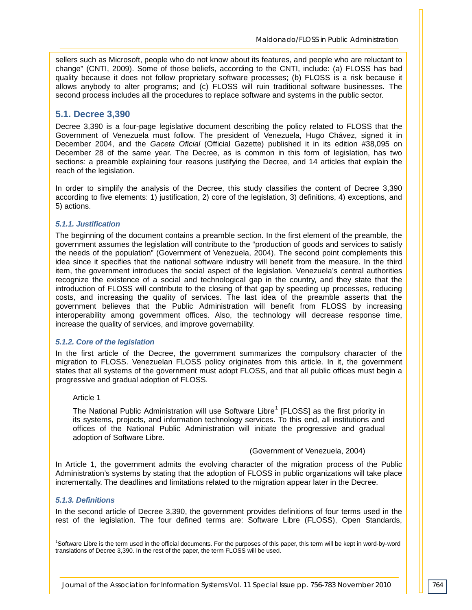sellers such as Microsoft, people who do not know about its features, and people who are reluctant to change" (CNTI, 2009). Some of those beliefs, according to the CNTI, include: (a) FLOSS has bad quality because it does not follow proprietary software processes; (b) FLOSS is a risk because it allows anybody to alter programs; and (c) FLOSS will ruin traditional software businesses. The second process includes all the procedures to replace software and systems in the public sector.

#### **5.1. Decree 3,390**

Decree 3,390 is a four-page legislative document describing the policy related to FLOSS that the Government of Venezuela must follow. The president of Venezuela, Hugo Chávez, signed it in December 2004, and the *Gaceta Oficial* (Official Gazette) published it in its edition #38,095 on December 28 of the same year. The Decree, as is common in this form of legislation, has two sections: a preamble explaining four reasons justifying the Decree, and 14 articles that explain the reach of the legislation.

In order to simplify the analysis of the Decree, this study classifies the content of Decree 3,390 according to five elements: 1) justification, 2) core of the legislation, 3) definitions, 4) exceptions, and 5) actions.

#### *5.1.1. Justification*

The beginning of the document contains a preamble section. In the first element of the preamble, the government assumes the legislation will contribute to the "production of goods and services to satisfy the needs of the population" (Government of Venezuela, 2004). The second point complements this idea since it specifies that the national software industry will benefit from the measure. In the third item, the government introduces the social aspect of the legislation. Venezuela's central authorities recognize the existence of a social and technological gap in the country, and they state that the introduction of FLOSS will contribute to the closing of that gap by speeding up processes, reducing costs, and increasing the quality of services. The last idea of the preamble asserts that the government believes that the Public Administration will benefit from FLOSS by increasing interoperability among government offices. Also, the technology will decrease response time, increase the quality of services, and improve governability.

#### *5.1.2. Core of the legislation*

In the first article of the Decree, the government summarizes the compulsory character of the migration to FLOSS. Venezuelan FLOSS policy originates from this article. In it, the government states that all systems of the government must adopt FLOSS, and that all public offices must begin a progressive and gradual adoption of FLOSS.

#### Article 1

The National Public Administration will use Software Libre<sup>[1](#page-9-0)</sup> [FLOSS] as the first priority in its systems, projects, and information technology services. To this end, all institutions and offices of the National Public Administration will initiate the progressive and gradual adoption of Software Libre.

#### (Government of Venezuela, 2004)

In Article 1, the government admits the evolving character of the migration process of the Public Administration's systems by stating that the adoption of FLOSS in public organizations will take place incrementally. The deadlines and limitations related to the migration appear later in the Decree.

#### *5.1.3. Definitions*

In the second article of Decree 3,390, the government provides definitions of four terms used in the rest of the legislation. The four defined terms are: Software Libre (FLOSS), Open Standards,

<span id="page-9-0"></span> $\frac{1}{1}$ <sup>1</sup>Software Libre is the term used in the official documents. For the purposes of this paper, this term will be kept in word-by-word translations of Decree 3,390. In the rest of the paper, the term FLOSS will be used.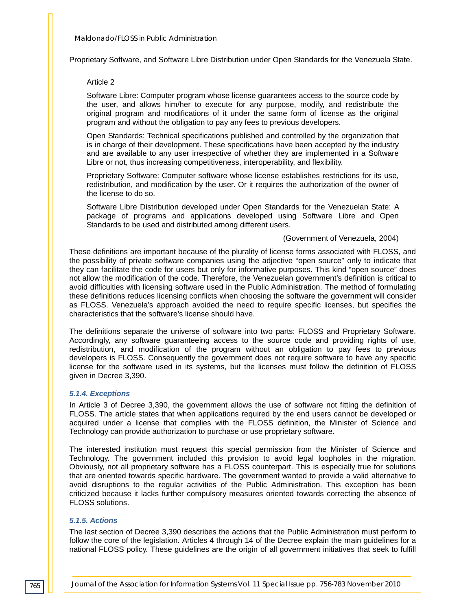Proprietary Software, and Software Libre Distribution under Open Standards for the Venezuela State.

#### Article 2

Software Libre: Computer program whose license guarantees access to the source code by the user, and allows him/her to execute for any purpose, modify, and redistribute the original program and modifications of it under the same form of license as the original program and without the obligation to pay any fees to previous developers.

Open Standards: Technical specifications published and controlled by the organization that is in charge of their development. These specifications have been accepted by the industry and are available to any user irrespective of whether they are implemented in a Software Libre or not, thus increasing competitiveness, interoperability, and flexibility.

Proprietary Software: Computer software whose license establishes restrictions for its use, redistribution, and modification by the user. Or it requires the authorization of the owner of the license to do so.

Software Libre Distribution developed under Open Standards for the Venezuelan State: A package of programs and applications developed using Software Libre and Open Standards to be used and distributed among different users.

#### (Government of Venezuela, 2004)

These definitions are important because of the plurality of license forms associated with FLOSS, and the possibility of private software companies using the adjective "open source" only to indicate that they can facilitate the code for users but only for informative purposes. This kind "open source" does not allow the modification of the code. Therefore, the Venezuelan government's definition is critical to avoid difficulties with licensing software used in the Public Administration. The method of formulating these definitions reduces licensing conflicts when choosing the software the government will consider as FLOSS. Venezuela's approach avoided the need to require specific licenses, but specifies the characteristics that the software's license should have.

The definitions separate the universe of software into two parts: FLOSS and Proprietary Software. Accordingly, any software guaranteeing access to the source code and providing rights of use, redistribution, and modification of the program without an obligation to pay fees to previous developers is FLOSS. Consequently the government does not require software to have any specific license for the software used in its systems, but the licenses must follow the definition of FLOSS given in Decree 3,390.

#### *5.1.4. Exceptions*

In Article 3 of Decree 3,390, the government allows the use of software not fitting the definition of FLOSS. The article states that when applications required by the end users cannot be developed or acquired under a license that complies with the FLOSS definition, the Minister of Science and Technology can provide authorization to purchase or use proprietary software.

The interested institution must request this special permission from the Minister of Science and Technology. The government included this provision to avoid legal loopholes in the migration. Obviously, not all proprietary software has a FLOSS counterpart. This is especially true for solutions that are oriented towards specific hardware. The government wanted to provide a valid alternative to avoid disruptions to the regular activities of the Public Administration. This exception has been criticized because it lacks further compulsory measures oriented towards correcting the absence of FLOSS solutions.

#### *5.1.5. Actions*

The last section of Decree 3,390 describes the actions that the Public Administration must perform to follow the core of the legislation. Articles 4 through 14 of the Decree explain the main guidelines for a national FLOSS policy. These guidelines are the origin of all government initiatives that seek to fulfill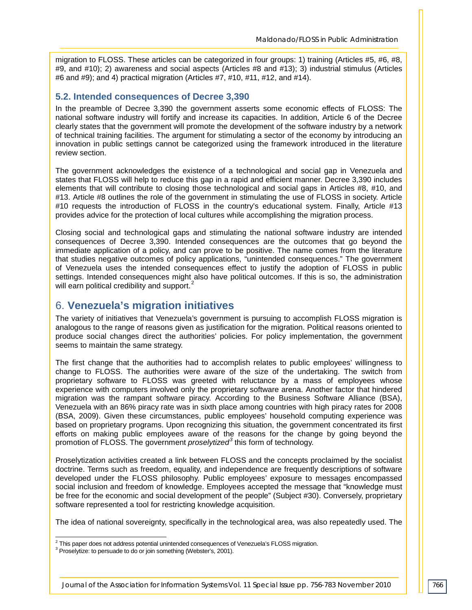migration to FLOSS. These articles can be categorized in four groups: 1) training (Articles #5, #6, #8, #9, and #10); 2) awareness and social aspects (Articles #8 and #13); 3) industrial stimulus (Articles #6 and #9); and 4) practical migration (Articles #7, #10, #11, #12, and #14).

#### **5.2. Intended consequences of Decree 3,390**

In the preamble of Decree 3,390 the government asserts some economic effects of FLOSS: The national software industry will fortify and increase its capacities. In addition, Article 6 of the Decree clearly states that the government will promote the development of the software industry by a network of technical training facilities. The argument for stimulating a sector of the economy by introducing an innovation in public settings cannot be categorized using the framework introduced in the literature review section.

The government acknowledges the existence of a technological and social gap in Venezuela and states that FLOSS will help to reduce this gap in a rapid and efficient manner. Decree 3,390 includes elements that will contribute to closing those technological and social gaps in Articles #8, #10, and #13. Article #8 outlines the role of the government in stimulating the use of FLOSS in society. Article #10 requests the introduction of FLOSS in the country's educational system. Finally, Article #13 provides advice for the protection of local cultures while accomplishing the migration process.

Closing social and technological gaps and stimulating the national software industry are intended consequences of Decree 3,390. Intended consequences are the outcomes that go beyond the immediate application of a policy, and can prove to be positive. The name comes from the literature that studies negative outcomes of policy applications, "unintended consequences." The government of Venezuela uses the intended consequences effect to justify the adoption of FLOSS in public settings. Intended consequences might also have political outcomes. If this is so, the administration will earn political credibility and support.<sup>[2](#page-11-0)</sup>

## 6. **Venezuela's migration initiatives**

The variety of initiatives that Venezuela's government is pursuing to accomplish FLOSS migration is analogous to the range of reasons given as justification for the migration. Political reasons oriented to produce social changes direct the authorities' policies. For policy implementation, the government seems to maintain the same strategy.

The first change that the authorities had to accomplish relates to public employees' willingness to change to FLOSS. The authorities were aware of the size of the undertaking. The switch from proprietary software to FLOSS was greeted with reluctance by a mass of employees whose experience with computers involved only the proprietary software arena. Another factor that hindered migration was the rampant software piracy. According to the Business Software Alliance (BSA), Venezuela with an 86% piracy rate was in sixth place among countries with high piracy rates for 2008 (BSA, 2009). Given these circumstances, public employees' household computing experience was based on proprietary programs. Upon recognizing this situation, the government concentrated its first efforts on making public employees aware of the reasons for the change by going beyond the promotion of FLOSS. The government *proselytized[3](#page-11-1)* this form of technology.

Proselytization activities created a link between FLOSS and the concepts proclaimed by the socialist doctrine. Terms such as freedom, equality, and independence are frequently descriptions of software developed under the FLOSS philosophy. Public employees' exposure to messages encompassed social inclusion and freedom of knowledge. Employees accepted the message that "knowledge must be free for the economic and social development of the people" (Subject #30). Conversely, proprietary software represented a tool for restricting knowledge acquisition.

The idea of national sovereignty, specifically in the technological area, was also repeatedly used. The

<span id="page-11-1"></span><span id="page-11-0"></span> $^2$  This paper does not address potential unintended consequences of Venezuela's FLOSS migration.<br> $^3$  Proselytize: to persuade to do or join something (Webster's, 2001).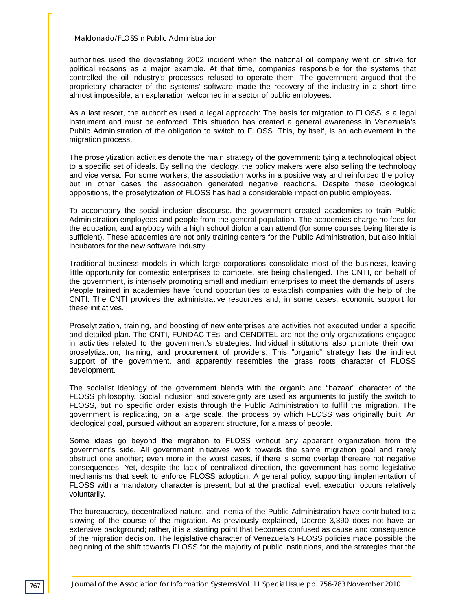authorities used the devastating 2002 incident when the national oil company went on strike for political reasons as a major example. At that time, companies responsible for the systems that controlled the oil industry's processes refused to operate them. The government argued that the proprietary character of the systems' software made the recovery of the industry in a short time almost impossible, an explanation welcomed in a sector of public employees.

As a last resort, the authorities used a legal approach: The basis for migration to FLOSS is a legal instrument and must be enforced. This situation has created a general awareness in Venezuela's Public Administration of the obligation to switch to FLOSS. This, by itself, is an achievement in the migration process.

The proselytization activities denote the main strategy of the government: tying a technological object to a specific set of ideals. By selling the ideology, the policy makers were also selling the technology and vice versa. For some workers, the association works in a positive way and reinforced the policy, but in other cases the association generated negative reactions. Despite these ideological oppositions, the proselytization of FLOSS has had a considerable impact on public employees.

To accompany the social inclusion discourse, the government created academies to train Public Administration employees and people from the general population. The academies charge no fees for the education, and anybody with a high school diploma can attend (for some courses being literate is sufficient). These academies are not only training centers for the Public Administration, but also initial incubators for the new software industry.

Traditional business models in which large corporations consolidate most of the business, leaving little opportunity for domestic enterprises to compete, are being challenged. The CNTI, on behalf of the government, is intensely promoting small and medium enterprises to meet the demands of users. People trained in academies have found opportunities to establish companies with the help of the CNTI. The CNTI provides the administrative resources and, in some cases, economic support for these initiatives.

Proselytization, training, and boosting of new enterprises are activities not executed under a specific and detailed plan. The CNTI, FUNDACITEs, and CENDITEL are not the only organizations engaged in activities related to the government's strategies. Individual institutions also promote their own proselytization, training, and procurement of providers. This "organic" strategy has the indirect support of the government, and apparently resembles the grass roots character of FLOSS development.

The socialist ideology of the government blends with the organic and "bazaar" character of the FLOSS philosophy. Social inclusion and sovereignty are used as arguments to justify the switch to FLOSS, but no specific order exists through the Public Administration to fulfill the migration. The government is replicating, on a large scale, the process by which FLOSS was originally built: An ideological goal, pursued without an apparent structure, for a mass of people.

Some ideas go beyond the migration to FLOSS without any apparent organization from the government's side. All government initiatives work towards the same migration goal and rarely obstruct one another; even more in the worst cases, if there is some overlap thereare not negative consequences. Yet, despite the lack of centralized direction, the government has some legislative mechanisms that seek to enforce FLOSS adoption. A general policy, supporting implementation of FLOSS with a mandatory character is present, but at the practical level, execution occurs relatively voluntarily.

The bureaucracy, decentralized nature, and inertia of the Public Administration have contributed to a slowing of the course of the migration. As previously explained, Decree 3,390 does not have an extensive background; rather, it is a starting point that becomes confused as cause and consequence of the migration decision. The legislative character of Venezuela's FLOSS policies made possible the beginning of the shift towards FLOSS for the majority of public institutions, and the strategies that the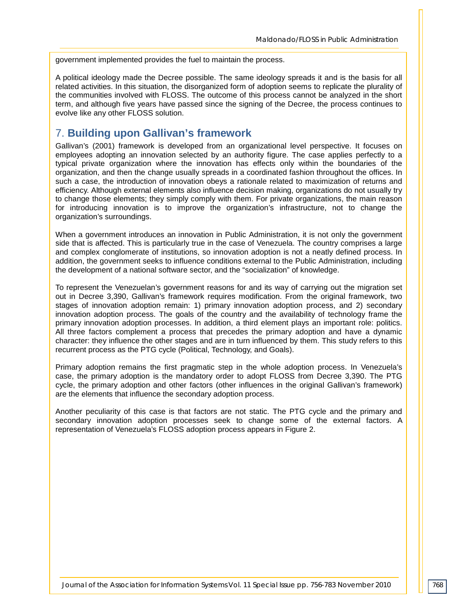government implemented provides the fuel to maintain the process.

A political ideology made the Decree possible. The same ideology spreads it and is the basis for all related activities. In this situation, the disorganized form of adoption seems to replicate the plurality of the communities involved with FLOSS. The outcome of this process cannot be analyzed in the short term, and although five years have passed since the signing of the Decree, the process continues to evolve like any other FLOSS solution.

# 7. **Building upon Gallivan's framework**

Gallivan's (2001) framework is developed from an organizational level perspective. It focuses on employees adopting an innovation selected by an authority figure. The case applies perfectly to a typical private organization where the innovation has effects only within the boundaries of the organization, and then the change usually spreads in a coordinated fashion throughout the offices. In such a case, the introduction of innovation obeys a rationale related to maximization of returns and efficiency. Although external elements also influence decision making, organizations do not usually try to change those elements; they simply comply with them. For private organizations, the main reason for introducing innovation is to improve the organization's infrastructure, not to change the organization's surroundings.

When a government introduces an innovation in Public Administration, it is not only the government side that is affected. This is particularly true in the case of Venezuela. The country comprises a large and complex conglomerate of institutions, so innovation adoption is not a neatly defined process. In addition, the government seeks to influence conditions external to the Public Administration, including the development of a national software sector, and the "socialization" of knowledge.

To represent the Venezuelan's government reasons for and its way of carrying out the migration set out in Decree 3,390, Gallivan's framework requires modification. From the original framework, two stages of innovation adoption remain: 1) primary innovation adoption process, and 2) secondary innovation adoption process. The goals of the country and the availability of technology frame the primary innovation adoption processes. In addition, a third element plays an important role: politics. All three factors complement a process that precedes the primary adoption and have a dynamic character: they influence the other stages and are in turn influenced by them. This study refers to this recurrent process as the PTG cycle (Political, Technology, and Goals).

Primary adoption remains the first pragmatic step in the whole adoption process. In Venezuela's case, the primary adoption is the mandatory order to adopt FLOSS from Decree 3,390. The PTG cycle, the primary adoption and other factors (other influences in the original Gallivan's framework) are the elements that influence the secondary adoption process.

Another peculiarity of this case is that factors are not static. The PTG cycle and the primary and secondary innovation adoption processes seek to change some of the external factors. A representation of Venezuela's FLOSS adoption process appears in Figure 2.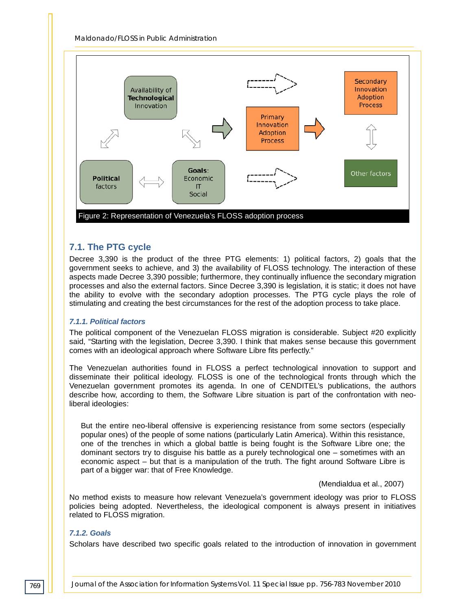*Maldonado/FLOSS in Public Administration*



## **7.1. The PTG cycle**

Decree 3,390 is the product of the three PTG elements: 1) political factors, 2) goals that the government seeks to achieve, and 3) the availability of FLOSS technology. The interaction of these aspects made Decree 3,390 possible; furthermore, they continually influence the secondary migration processes and also the external factors. Since Decree 3,390 is legislation, it is static; it does not have the ability to evolve with the secondary adoption processes. The PTG cycle plays the role of stimulating and creating the best circumstances for the rest of the adoption process to take place.

#### *7.1.1. Political factors*

The political component of the Venezuelan FLOSS migration is considerable. Subject #20 explicitly said, "Starting with the legislation, Decree 3,390. I think that makes sense because this government comes with an ideological approach where Software Libre fits perfectly."

The Venezuelan authorities found in FLOSS a perfect technological innovation to support and disseminate their political ideology. FLOSS is one of the technological fronts through which the Venezuelan government promotes its agenda. In one of CENDITEL's publications, the authors describe how, according to them, the Software Libre situation is part of the confrontation with neoliberal ideologies:

But the entire neo-liberal offensive is experiencing resistance from some sectors (especially popular ones) of the people of some nations (particularly Latin America). Within this resistance, one of the trenches in which a global battle is being fought is the Software Libre one; the dominant sectors try to disguise his battle as a purely technological one – sometimes with an economic aspect – but that is a manipulation of the truth. The fight around Software Libre is part of a bigger war: that of Free Knowledge.

#### (Mendialdua et al., 2007)

No method exists to measure how relevant Venezuela's government ideology was prior to FLOSS policies being adopted. Nevertheless, the ideological component is always present in initiatives related to FLOSS migration.

#### *7.1.2. Goals*

Scholars have described two specific goals related to the introduction of innovation in government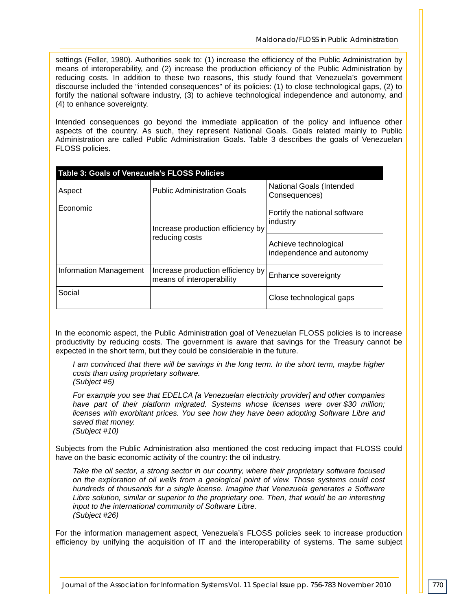settings (Feller, 1980). Authorities seek to: (1) increase the efficiency of the Public Administration by means of interoperability, and (2) increase the production efficiency of the Public Administration by reducing costs. In addition to these two reasons, this study found that Venezuela's government discourse included the "intended consequences" of its policies: (1) to close technological gaps, (2) to fortify the national software industry, (3) to achieve technological independence and autonomy, and (4) to enhance sovereignty.

Intended consequences go beyond the immediate application of the policy and influence other aspects of the country. As such, they represent National Goals. Goals related mainly to Public Administration are called Public Administration Goals. Table 3 describes the goals of Venezuelan FLOSS policies.

| <b>Table 3: Goals of Venezuela's FLOSS Policies</b> |                                                                |                                                    |  |  |
|-----------------------------------------------------|----------------------------------------------------------------|----------------------------------------------------|--|--|
| Aspect                                              | <b>Public Administration Goals</b>                             | National Goals (Intended<br>Consequences)          |  |  |
| Economic                                            | Increase production efficiency by                              | Fortify the national software<br>industry          |  |  |
|                                                     | reducing costs                                                 | Achieve technological<br>independence and autonomy |  |  |
| Information Management                              | Increase production efficiency by<br>means of interoperability | Enhance sovereignty                                |  |  |
| Social                                              |                                                                | Close technological gaps                           |  |  |

In the economic aspect, the Public Administration goal of Venezuelan FLOSS policies is to increase productivity by reducing costs. The government is aware that savings for the Treasury cannot be expected in the short term, but they could be considerable in the future.

*I* am convinced that there will be savings in the long term. In the short term, maybe higher *costs than using proprietary software. (Subject #5)*

*For example you see that EDELCA [a Venezuelan electricity provider] and other companies have part of their platform migrated. Systems whose licenses were over \$30 million; licenses with exorbitant prices. You see how they have been adopting Software Libre and saved that money. (Subject #10)*

Subjects from the Public Administration also mentioned the cost reducing impact that FLOSS could have on the basic economic activity of the country: the oil industry.

*Take the oil sector, a strong sector in our country, where their proprietary software focused on the exploration of oil wells from a geological point of view. Those systems could cost hundreds of thousands for a single license. Imagine that Venezuela generates a Software Libre solution, similar or superior to the proprietary one. Then, that would be an interesting input to the international community of Software Libre. (Subject #26)*

For the information management aspect, Venezuela's FLOSS policies seek to increase production efficiency by unifying the acquisition of IT and the interoperability of systems. The same subject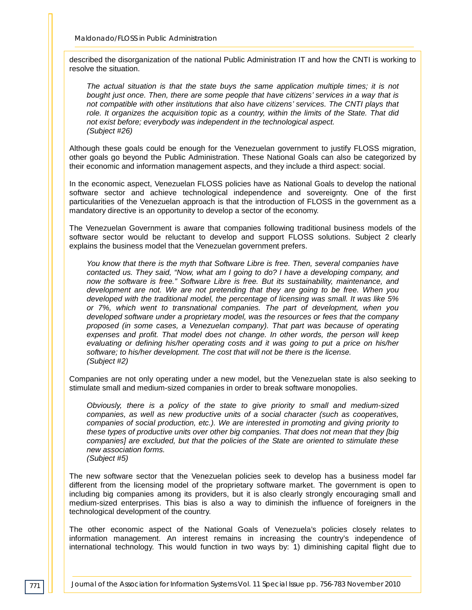described the disorganization of the national Public Administration IT and how the CNTI is working to resolve the situation.

*The actual situation is that the state buys the same application multiple times; it is not bought just once. Then, there are some people that have citizens' services in a way that is not compatible with other institutions that also have citizens' services. The CNTI plays that role. It organizes the acquisition topic as a country, within the limits of the State. That did not exist before; everybody was independent in the technological aspect. (Subject #26)*

Although these goals could be enough for the Venezuelan government to justify FLOSS migration, other goals go beyond the Public Administration. These National Goals can also be categorized by their economic and information management aspects, and they include a third aspect: social.

In the economic aspect, Venezuelan FLOSS policies have as National Goals to develop the national software sector and achieve technological independence and sovereignty. One of the first particularities of the Venezuelan approach is that the introduction of FLOSS in the government as a mandatory directive is an opportunity to develop a sector of the economy.

The Venezuelan Government is aware that companies following traditional business models of the software sector would be reluctant to develop and support FLOSS solutions. Subject 2 clearly explains the business model that the Venezuelan government prefers.

*You know that there is the myth that Software Libre is free. Then, several companies have contacted us. They said, "Now, what am I going to do? I have a developing company, and now the software is free." Software Libre is free. But its sustainability, maintenance, and development are not. We are not pretending that they are going to be free. When you developed with the traditional model, the percentage of licensing was small. It was like 5% or 7%, which went to transnational companies. The part of development, when you developed software under a proprietary model, was the resources or fees that the company proposed (in some cases, a Venezuelan company). That part was because of operating*  expenses and profit. That model does not change. In other words, the person will keep *evaluating or defining his/her operating costs and it was going to put a price on his/her software; to his/her development. The cost that will not be there is the license. (Subject #2)*

Companies are not only operating under a new model, but the Venezuelan state is also seeking to stimulate small and medium-sized companies in order to break software monopolies.

*Obviously, there is a policy of the state to give priority to small and medium-sized companies, as well as new productive units of a social character (such as cooperatives, companies of social production, etc.). We are interested in promoting and giving priority to these types of productive units over other big companies. That does not mean that they [big companies] are excluded, but that the policies of the State are oriented to stimulate these new association forms. (Subject #5)*

The new software sector that the Venezuelan policies seek to develop has a business model far different from the licensing model of the proprietary software market. The government is open to including big companies among its providers, but it is also clearly strongly encouraging small and medium-sized enterprises. This bias is also a way to diminish the influence of foreigners in the technological development of the country.

The other economic aspect of the National Goals of Venezuela's policies closely relates to information management. An interest remains in increasing the country's independence of international technology. This would function in two ways by: 1) diminishing capital flight due to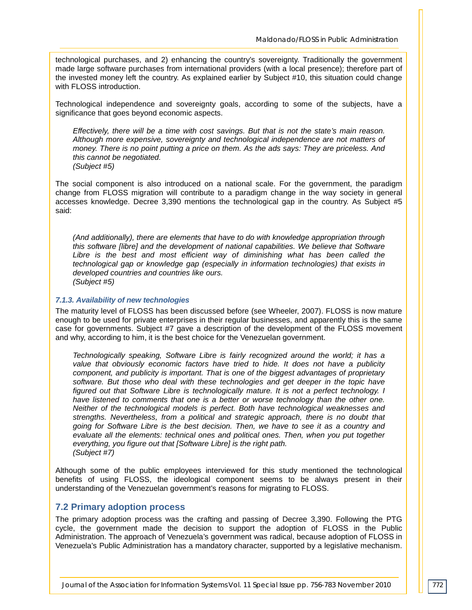technological purchases, and 2) enhancing the country's sovereignty. Traditionally the government made large software purchases from international providers (with a local presence); therefore part of the invested money left the country. As explained earlier by Subject #10, this situation could change with FLOSS introduction.

Technological independence and sovereignty goals, according to some of the subjects, have a significance that goes beyond economic aspects.

*Effectively, there will be a time with cost savings. But that is not the state's main reason. Although more expensive, sovereignty and technological independence are not matters of money. There is no point putting a price on them. As the ads says: They are priceless. And this cannot be negotiated. (Subject #5)*

The social component is also introduced on a national scale. For the government, the paradigm change from FLOSS migration will contribute to a paradigm change in the way society in general accesses knowledge. Decree 3,390 mentions the technological gap in the country. As Subject #5 said:

*(And additionally), there are elements that have to do with knowledge appropriation through this software [libre] and the development of national capabilities. We believe that Software*  Libre is the best and most efficient way of diminishing what has been called the *technological gap or knowledge gap (especially in information technologies) that exists in developed countries and countries like ours. (Subject #5)*

#### *7.1.3. Availability of new technologies*

The maturity level of FLOSS has been discussed before (see Wheeler, 2007). FLOSS is now mature enough to be used for private enterprises in their regular businesses, and apparently this is the same case for governments. Subject #7 gave a description of the development of the FLOSS movement and why, according to him, it is the best choice for the Venezuelan government.

*Technologically speaking, Software Libre is fairly recognized around the world; it has a value that obviously economic factors have tried to hide. It does not have a publicity component, and publicity is important. That is one of the biggest advantages of proprietary software. But those who deal with these technologies and get deeper in the topic have figured out that Software Libre is technologically mature. It is not a perfect technology. I have listened to comments that one is a better or worse technology than the other one. Neither of the technological models is perfect. Both have technological weaknesses and strengths. Nevertheless, from a political and strategic approach, there is no doubt that going for Software Libre is the best decision. Then, we have to see it as a country and evaluate all the elements: technical ones and political ones. Then, when you put together everything, you figure out that [Software Libre] is the right path. (Subject #7)*

Although some of the public employees interviewed for this study mentioned the technological benefits of using FLOSS, the ideological component seems to be always present in their understanding of the Venezuelan government's reasons for migrating to FLOSS.

#### **7.2 Primary adoption process**

The primary adoption process was the crafting and passing of Decree 3,390. Following the PTG cycle, the government made the decision to support the adoption of FLOSS in the Public Administration. The approach of Venezuela's government was radical, because adoption of FLOSS in Venezuela's Public Administration has a mandatory character, supported by a legislative mechanism.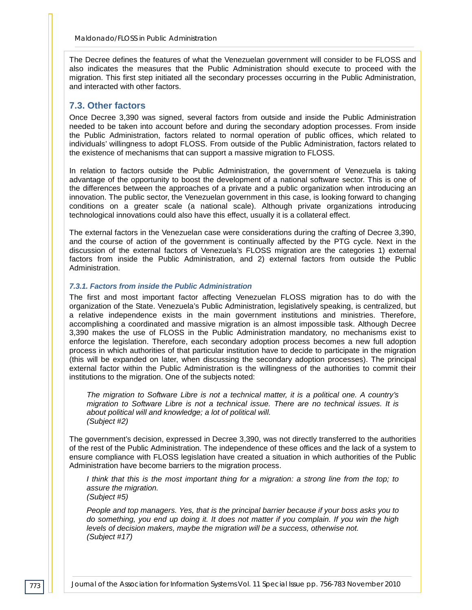The Decree defines the features of what the Venezuelan government will consider to be FLOSS and also indicates the measures that the Public Administration should execute to proceed with the migration. This first step initiated all the secondary processes occurring in the Public Administration, and interacted with other factors.

#### **7.3. Other factors**

Once Decree 3,390 was signed, several factors from outside and inside the Public Administration needed to be taken into account before and during the secondary adoption processes. From inside the Public Administration, factors related to normal operation of public offices, which related to individuals' willingness to adopt FLOSS. From outside of the Public Administration, factors related to the existence of mechanisms that can support a massive migration to FLOSS.

In relation to factors outside the Public Administration, the government of Venezuela is taking advantage of the opportunity to boost the development of a national software sector. This is one of the differences between the approaches of a private and a public organization when introducing an innovation. The public sector, the Venezuelan government in this case, is looking forward to changing conditions on a greater scale (a national scale). Although private organizations introducing technological innovations could also have this effect, usually it is a collateral effect.

The external factors in the Venezuelan case were considerations during the crafting of Decree 3,390, and the course of action of the government is continually affected by the PTG cycle. Next in the discussion of the external factors of Venezuela's FLOSS migration are the categories 1) external factors from inside the Public Administration, and 2) external factors from outside the Public Administration.

#### *7.3.1. Factors from inside the Public Administration*

The first and most important factor affecting Venezuelan FLOSS migration has to do with the organization of the State. Venezuela's Public Administration, legislatively speaking, is centralized, but a relative independence exists in the main government institutions and ministries. Therefore, accomplishing a coordinated and massive migration is an almost impossible task. Although Decree 3,390 makes the use of FLOSS in the Public Administration mandatory, no mechanisms exist to enforce the legislation. Therefore, each secondary adoption process becomes a new full adoption process in which authorities of that particular institution have to decide to participate in the migration (this will be expanded on later, when discussing the secondary adoption processes). The principal external factor within the Public Administration is the willingness of the authorities to commit their institutions to the migration. One of the subjects noted:

*The migration to Software Libre is not a technical matter, it is a political one. A country's migration to Software Libre is not a technical issue. There are no technical issues. It is about political will and knowledge; a lot of political will. (Subject #2)*

The government's decision, expressed in Decree 3,390, was not directly transferred to the authorities of the rest of the Public Administration. The independence of these offices and the lack of a system to ensure compliance with FLOSS legislation have created a situation in which authorities of the Public Administration have become barriers to the migration process.

*I think that this is the most important thing for a migration: a strong line from the top; to assure the migration. (Subject #5)*

*People and top managers. Yes, that is the principal barrier because if your boss asks you to do something, you end up doing it. It does not matter if you complain. If you win the high levels of decision makers, maybe the migration will be a success, otherwise not. (Subject #17)*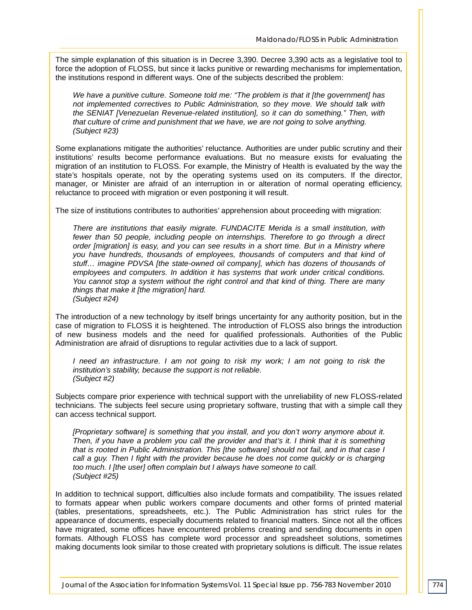The simple explanation of this situation is in Decree 3,390. Decree 3,390 acts as a legislative tool to force the adoption of FLOSS, but since it lacks punitive or rewarding mechanisms for implementation, the institutions respond in different ways. One of the subjects described the problem:

*We have a punitive culture. Someone told me: "The problem is that it [the government] has not implemented correctives to Public Administration, so they move. We should talk with the SENIAT [Venezuelan Revenue-related institution], so it can do something." Then, with that culture of crime and punishment that we have, we are not going to solve anything. (Subject #23)*

Some explanations mitigate the authorities' reluctance. Authorities are under public scrutiny and their institutions' results become performance evaluations. But no measure exists for evaluating the migration of an institution to FLOSS. For example, the Ministry of Health is evaluated by the way the state's hospitals operate, not by the operating systems used on its computers. If the director, manager, or Minister are afraid of an interruption in or alteration of normal operating efficiency, reluctance to proceed with migration or even postponing it will result.

The size of institutions contributes to authorities' apprehension about proceeding with migration:

*There are institutions that easily migrate. FUNDACITE Merida is a small institution, with fewer than 50 people, including people on internships. Therefore to go through a direct order [migration] is easy, and you can see results in a short time. But in a Ministry where you have hundreds, thousands of employees, thousands of computers and that kind of stuff… imagine PDVSA [the state-owned oil company], which has dozens of thousands of employees and computers. In addition it has systems that work under critical conditions. You cannot stop a system without the right control and that kind of thing. There are many things that make it [the migration] hard. (Subject #24)*

The introduction of a new technology by itself brings uncertainty for any authority position, but in the case of migration to FLOSS it is heightened. The introduction of FLOSS also brings the introduction of new business models and the need for qualified professionals. Authorities of the Public Administration are afraid of disruptions to regular activities due to a lack of support.

*I* need an infrastructure. I am not going to risk my work; I am not going to risk the *institution's stability, because the support is not reliable. (Subject #2)*

Subjects compare prior experience with technical support with the unreliability of new FLOSS-related technicians. The subjects feel secure using proprietary software, trusting that with a simple call they can access technical support.

*[Proprietary software] is something that you install, and you don't worry anymore about it. Then, if you have a problem you call the provider and that's it. I think that it is something that is rooted in Public Administration. This [the software] should not fail, and in that case I*  call a guy. Then I fight with the provider because he does not come quickly or is charging *too much. I [the user] often complain but I always have someone to call. (Subject #25)*

In addition to technical support, difficulties also include formats and compatibility. The issues related to formats appear when public workers compare documents and other forms of printed material (tables, presentations, spreadsheets, etc.). The Public Administration has strict rules for the appearance of documents, especially documents related to financial matters. Since not all the offices have migrated, some offices have encountered problems creating and sending documents in open formats. Although FLOSS has complete word processor and spreadsheet solutions, sometimes making documents look similar to those created with proprietary solutions is difficult. The issue relates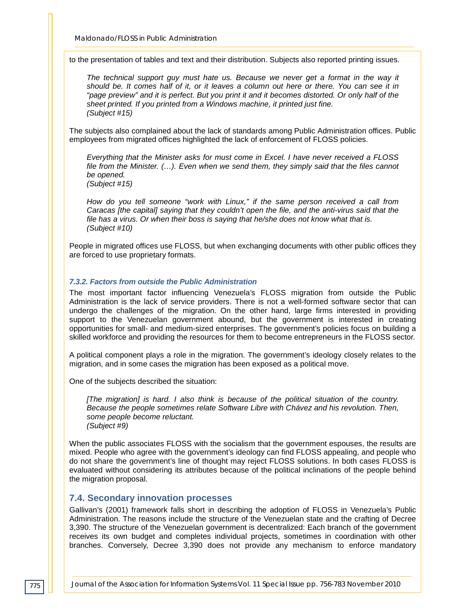to the presentation of tables and text and their distribution. Subjects also reported printing issues.

The technical support guy must hate us. Because we never get a format in the way it *should be. It comes half of it, or it leaves a column out here or there. You can see it in "page preview" and it is perfect. But you print it and it becomes distorted. Or only half of the sheet printed. If you printed from a Windows machine, it printed just fine. (Subject #15)*

The subjects also complained about the lack of standards among Public Administration offices. Public employees from migrated offices highlighted the lack of enforcement of FLOSS policies.

*Everything that the Minister asks for must come in Excel. I have never received a FLOSS file from the Minister. (…). Even when we send them, they simply said that the files cannot be opened. (Subject #15)*

*How do you tell someone "work with Linux," if the same person received a call from Caracas [the capital] saying that they couldn't open the file, and the anti-virus said that the file has a virus. Or when their boss is saying that he/she does not know what that is. (Subject #10)*

People in migrated offices use FLOSS, but when exchanging documents with other public offices they are forced to use proprietary formats.

#### *7.3.2. Factors from outside the Public Administration*

The most important factor influencing Venezuela's FLOSS migration from outside the Public Administration is the lack of service providers. There is not a well-formed software sector that can undergo the challenges of the migration. On the other hand, large firms interested in providing support to the Venezuelan government abound, but the government is interested in creating opportunities for small- and medium-sized enterprises. The government's policies focus on building a skilled workforce and providing the resources for them to become entrepreneurs in the FLOSS sector.

A political component plays a role in the migration. The government's ideology closely relates to the migration, and in some cases the migration has been exposed as a political move.

One of the subjects described the situation:

*[The migration] is hard. I also think is because of the political situation of the country. Because the people sometimes relate Software Libre with Chávez and his revolution. Then, some people become reluctant. (Subject #9)*

When the public associates FLOSS with the socialism that the government espouses, the results are mixed. People who agree with the government's ideology can find FLOSS appealing, and people who do not share the government's line of thought may reject FLOSS solutions. In both cases FLOSS is evaluated without considering its attributes because of the political inclinations of the people behind the migration proposal.

#### **7.4. Secondary innovation processes**

Gallivan's (2001) framework falls short in describing the adoption of FLOSS in Venezuela's Public Administration. The reasons include the structure of the Venezuelan state and the crafting of Decree 3,390. The structure of the Venezuelan government is decentralized: Each branch of the government receives its own budget and completes individual projects, sometimes in coordination with other branches. Conversely, Decree 3,390 does not provide any mechanism to enforce mandatory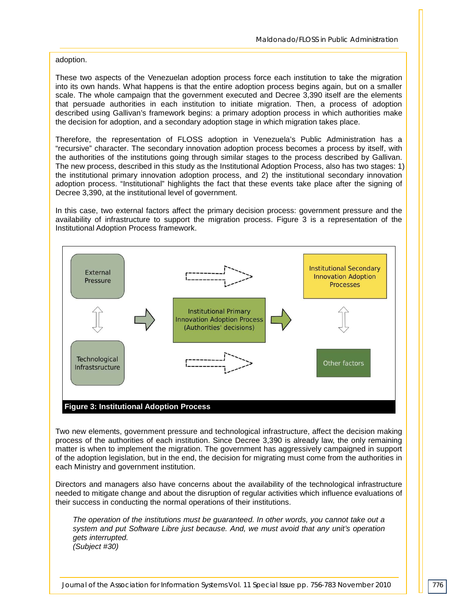#### adoption.

These two aspects of the Venezuelan adoption process force each institution to take the migration into its own hands. What happens is that the entire adoption process begins again, but on a smaller scale. The whole campaign that the government executed and Decree 3,390 itself are the elements that persuade authorities in each institution to initiate migration. Then, a process of adoption described using Gallivan's framework begins: a primary adoption process in which authorities make the decision for adoption, and a secondary adoption stage in which migration takes place.

Therefore, the representation of FLOSS adoption in Venezuela's Public Administration has a "recursive" character. The secondary innovation adoption process becomes a process by itself, with the authorities of the institutions going through similar stages to the process described by Gallivan. The new process, described in this study as the Institutional Adoption Process, also has two stages: 1) the institutional primary innovation adoption process, and 2) the institutional secondary innovation adoption process. "Institutional" highlights the fact that these events take place after the signing of Decree 3,390, at the institutional level of government.

In this case, two external factors affect the primary decision process: government pressure and the availability of infrastructure to support the migration process. Figure 3 is a representation of the Institutional Adoption Process framework.



Two new elements, government pressure and technological infrastructure, affect the decision making process of the authorities of each institution. Since Decree 3,390 is already law, the only remaining matter is when to implement the migration. The government has aggressively campaigned in support of the adoption legislation, but in the end, the decision for migrating must come from the authorities in each Ministry and government institution.

Directors and managers also have concerns about the availability of the technological infrastructure needed to mitigate change and about the disruption of regular activities which influence evaluations of their success in conducting the normal operations of their institutions.

*The operation of the institutions must be guaranteed. In other words, you cannot take out a system and put Software Libre just because. And, we must avoid that any unit's operation gets interrupted. (Subject #30)*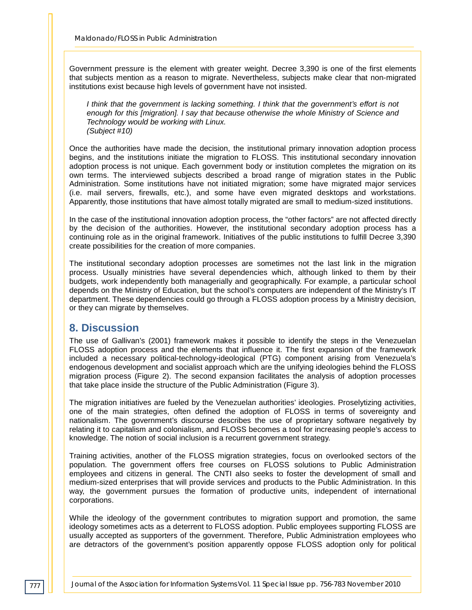Government pressure is the element with greater weight. Decree 3,390 is one of the first elements that subjects mention as a reason to migrate. Nevertheless, subjects make clear that non-migrated institutions exist because high levels of government have not insisted.

*I think that the government is lacking something. I think that the government's effort is not enough for this [migration]. I say that because otherwise the whole Ministry of Science and Technology would be working with Linux. (Subject #10)*

Once the authorities have made the decision, the institutional primary innovation adoption process begins, and the institutions initiate the migration to FLOSS. This institutional secondary innovation adoption process is not unique. Each government body or institution completes the migration on its own terms. The interviewed subjects described a broad range of migration states in the Public Administration. Some institutions have not initiated migration; some have migrated major services (i.e. mail servers, firewalls, etc.), and some have even migrated desktops and workstations. Apparently, those institutions that have almost totally migrated are small to medium-sized institutions.

In the case of the institutional innovation adoption process, the "other factors" are not affected directly by the decision of the authorities. However, the institutional secondary adoption process has a continuing role as in the original framework. Initiatives of the public institutions to fulfill Decree 3,390 create possibilities for the creation of more companies.

The institutional secondary adoption processes are sometimes not the last link in the migration process. Usually ministries have several dependencies which, although linked to them by their budgets, work independently both managerially and geographically. For example, a particular school depends on the Ministry of Education, but the school's computers are independent of the Ministry's IT department. These dependencies could go through a FLOSS adoption process by a Ministry decision, or they can migrate by themselves.

# **8. Discussion**

The use of Gallivan's (2001) framework makes it possible to identify the steps in the Venezuelan FLOSS adoption process and the elements that influence it. The first expansion of the framework included a necessary political-technology-ideological (PTG) component arising from Venezuela's endogenous development and socialist approach which are the unifying ideologies behind the FLOSS migration process (Figure 2). The second expansion facilitates the analysis of adoption processes that take place inside the structure of the Public Administration (Figure 3).

The migration initiatives are fueled by the Venezuelan authorities' ideologies. Proselytizing activities, one of the main strategies, often defined the adoption of FLOSS in terms of sovereignty and nationalism. The government's discourse describes the use of proprietary software negatively by relating it to capitalism and colonialism, and FLOSS becomes a tool for increasing people's access to knowledge. The notion of social inclusion is a recurrent government strategy.

Training activities, another of the FLOSS migration strategies, focus on overlooked sectors of the population. The government offers free courses on FLOSS solutions to Public Administration employees and citizens in general. The CNTI also seeks to foster the development of small and medium-sized enterprises that will provide services and products to the Public Administration. In this way, the government pursues the formation of productive units, independent of international corporations.

While the ideology of the government contributes to migration support and promotion, the same ideology sometimes acts as a deterrent to FLOSS adoption. Public employees supporting FLOSS are usually accepted as supporters of the government. Therefore, Public Administration employees who are detractors of the government's position apparently oppose FLOSS adoption only for political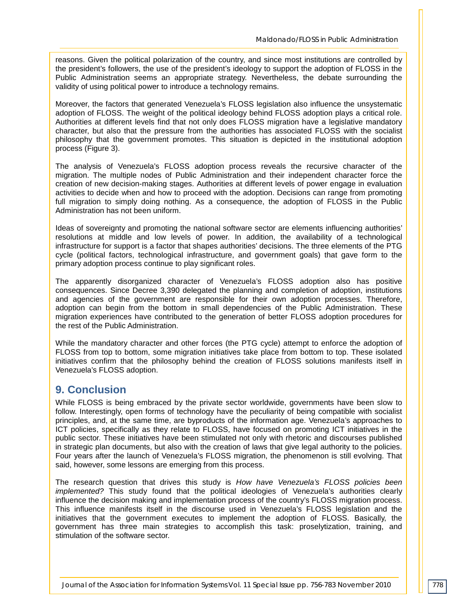reasons. Given the political polarization of the country, and since most institutions are controlled by the president's followers, the use of the president's ideology to support the adoption of FLOSS in the Public Administration seems an appropriate strategy. Nevertheless, the debate surrounding the validity of using political power to introduce a technology remains.

Moreover, the factors that generated Venezuela's FLOSS legislation also influence the unsystematic adoption of FLOSS. The weight of the political ideology behind FLOSS adoption plays a critical role. Authorities at different levels find that not only does FLOSS migration have a legislative mandatory character, but also that the pressure from the authorities has associated FLOSS with the socialist philosophy that the government promotes. This situation is depicted in the institutional adoption process (Figure 3).

The analysis of Venezuela's FLOSS adoption process reveals the recursive character of the migration. The multiple nodes of Public Administration and their independent character force the creation of new decision-making stages. Authorities at different levels of power engage in evaluation activities to decide when and how to proceed with the adoption. Decisions can range from promoting full migration to simply doing nothing. As a consequence, the adoption of FLOSS in the Public Administration has not been uniform.

Ideas of sovereignty and promoting the national software sector are elements influencing authorities' resolutions at middle and low levels of power. In addition, the availability of a technological infrastructure for support is a factor that shapes authorities' decisions. The three elements of the PTG cycle (political factors, technological infrastructure, and government goals) that gave form to the primary adoption process continue to play significant roles.

The apparently disorganized character of Venezuela's FLOSS adoption also has positive consequences. Since Decree 3,390 delegated the planning and completion of adoption, institutions and agencies of the government are responsible for their own adoption processes. Therefore, adoption can begin from the bottom in small dependencies of the Public Administration. These migration experiences have contributed to the generation of better FLOSS adoption procedures for the rest of the Public Administration.

While the mandatory character and other forces (the PTG cycle) attempt to enforce the adoption of FLOSS from top to bottom, some migration initiatives take place from bottom to top. These isolated initiatives confirm that the philosophy behind the creation of FLOSS solutions manifests itself in Venezuela's FLOSS adoption.

## **9. Conclusion**

While FLOSS is being embraced by the private sector worldwide, governments have been slow to follow. Interestingly, open forms of technology have the peculiarity of being compatible with socialist principles, and, at the same time, are byproducts of the information age. Venezuela's approaches to ICT policies, specifically as they relate to FLOSS, have focused on promoting ICT initiatives in the public sector. These initiatives have been stimulated not only with rhetoric and discourses published in strategic plan documents, but also with the creation of laws that give legal authority to the policies. Four years after the launch of Venezuela's FLOSS migration, the phenomenon is still evolving. That said, however, some lessons are emerging from this process.

The research question that drives this study is *How have Venezuela's FLOSS policies been implemented?* This study found that the political ideologies of Venezuela's authorities clearly influence the decision making and implementation process of the country's FLOSS migration process. This influence manifests itself in the discourse used in Venezuela's FLOSS legislation and the initiatives that the government executes to implement the adoption of FLOSS. Basically, the government has three main strategies to accomplish this task: proselytization, training, and stimulation of the software sector.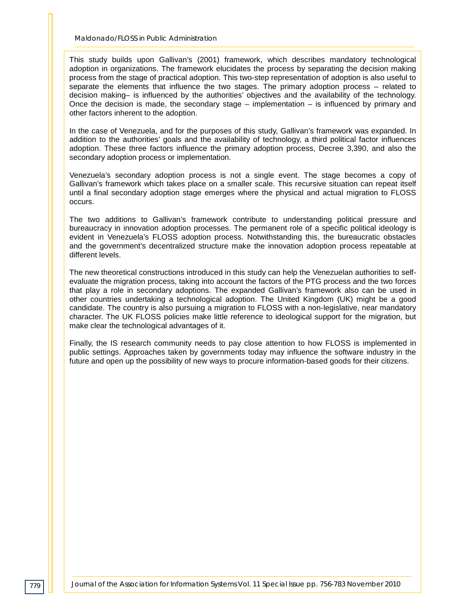*Maldonado/FLOSS in Public Administration*

This study builds upon Gallivan's (2001) framework, which describes mandatory technological adoption in organizations. The framework elucidates the process by separating the decision making process from the stage of practical adoption. This two-step representation of adoption is also useful to separate the elements that influence the two stages. The primary adoption process – related to decision making– is influenced by the authorities' objectives and the availability of the technology. Once the decision is made, the secondary stage  $-$  implementation  $-$  is influenced by primary and other factors inherent to the adoption.

In the case of Venezuela, and for the purposes of this study, Gallivan's framework was expanded. In addition to the authorities' goals and the availability of technology, a third political factor influences adoption. These three factors influence the primary adoption process, Decree 3,390, and also the secondary adoption process or implementation.

Venezuela's secondary adoption process is not a single event. The stage becomes a copy of Gallivan's framework which takes place on a smaller scale. This recursive situation can repeat itself until a final secondary adoption stage emerges where the physical and actual migration to FLOSS occurs.

The two additions to Gallivan's framework contribute to understanding political pressure and bureaucracy in innovation adoption processes. The permanent role of a specific political ideology is evident in Venezuela's FLOSS adoption process. Notwithstanding this, the bureaucratic obstacles and the government's decentralized structure make the innovation adoption process repeatable at different levels.

The new theoretical constructions introduced in this study can help the Venezuelan authorities to selfevaluate the migration process, taking into account the factors of the PTG process and the two forces that play a role in secondary adoptions. The expanded Gallivan's framework also can be used in other countries undertaking a technological adoption. The United Kingdom (UK) might be a good candidate. The country is also pursuing a migration to FLOSS with a non-legislative, near mandatory character. The UK FLOSS policies make little reference to ideological support for the migration, but make clear the technological advantages of it.

Finally, the IS research community needs to pay close attention to how FLOSS is implemented in public settings. Approaches taken by governments today may influence the software industry in the future and open up the possibility of new ways to procure information-based goods for their citizens.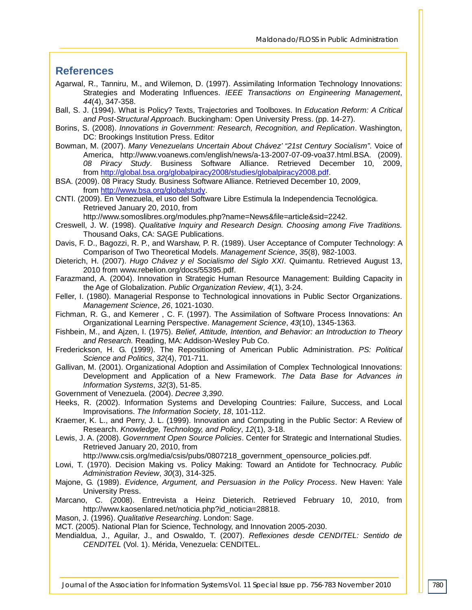## **References**

- Agarwal, R., Tanniru, M., and Wilemon, D. (1997). Assimilating Information Technology Innovations: Strategies and Moderating Influences. *IEEE Transactions on Engineering Management*, *44*(4), 347-358.
- Ball, S. J. (1994). What is Policy? Texts, Trajectories and Toolboxes. In *Education Reform: A Critical and Post-Structural Approach*. Buckingham: Open University Press. (pp. 14-27).
- Borins, S. (2008). *Innovations in Government: Research, Recognition, and Replication*. Washington, DC: Brookings Institution Press. Editor
- Bowman, M. (2007). *Many Venezuelans Uncertain About Chávez' "21st Century Socialism"*. Voice of America, http://www.voanews.com/english/news/a-13-2007-07-09-voa37.html.BSA. (2009). *08 Piracy Study*. Business Software Alliance. Retrieved December 10, 2009, from [http://global.bsa.org/globalpiracy2008/studies/globalpiracy2008.pdf.](http://global.bsa.org/globalpiracy2008/studies/globalpiracy2008.pdf)
- BSA. (2009). 08 Piracy Study. Business Software Alliance. Retrieved December 10, 2009, from [http://www.bsa.org/globalstudy.](http://www.bsa.org/globalstudy)
- CNTI. (2009). En Venezuela, el uso del Software Libre Estimula la Independencia Tecnológica. Retrieved January 20, 2010, from
	- http://www.somoslibres.org/modules.php?name=News&file=article&sid=2242.
- Creswell, J. W. (1998). *Qualitative Inquiry and Research Design. Choosing among Five Traditions.* Thousand Oaks, CA: SAGE Publications.
- Davis, F. D., Bagozzi, R. P., and Warshaw, P. R. (1989). User Acceptance of Computer Technology: A Comparison of Two Theoretical Models. *Management Science*, *35*(8), 982-1003.
- Dieterich, H. (2007). *Hugo Chávez y el Socialismo del Siglo XXI*. Quimantu. Retrieved August 13, 2010 from www.rebelion.org/docs/55395.pdf.
- Farazmand, A. (2004). Innovation in Strategic Human Resource Management: Building Capacity in the Age of Globalization. *Public Organization Review*, *4*(1), 3-24.
- Feller, I. (1980). Managerial Response to Technological innovations in Public Sector Organizations. *Management Science*, *26*, 1021-1030.
- Fichman, R. G., and Kemerer , C. F. (1997). The Assimilation of Software Process Innovations: An Organizational Learning Perspective. *Management Science*, *43*(10), 1345-1363.
- Fishbein, M., and Ajzen, I. (1975). *Belief, Attitude, Intention, and Behavior: an Introduction to Theory and Research.* Reading, MA: Addison-Wesley Pub Co.
- Frederickson, H. G. (1999). The Repositioning of American Public Administration. *PS: Political Science and Politics*, *32*(4), 701-711.
- Gallivan, M. (2001). Organizational Adoption and Assimilation of Complex Technological Innovations: Development and Application of a New Framework. *The Data Base for Advances in Information Systems*, *32*(3), 51-85.

Government of Venezuela. (2004). *Decree 3,390*.

- Heeks, R. (2002). Information Systems and Developing Countries: Failure, Success, and Local Improvisations. *The Information Society*, *18*, 101-112.
- Kraemer, K. L., and Perry, J. L. (1999). Innovation and Computing in the Public Sector: A Review of Research. *Knowledge, Technology, and Policy*, *12*(1), 3-18.
- Lewis, J. A. (2008). *Government Open Source Policies*. Center for Strategic and International Studies. Retrieved January 20, 2010, from

http://www.csis.org/media/csis/pubs/0807218\_government\_opensource\_policies.pdf.

- Lowi, T. (1970). Decision Making vs. Policy Making: Toward an Antidote for Technocracy. *Public Administration Review*, *30*(3), 314-325.
- Majone, G. (1989). *Evidence, Argument, and Persuasion in the Policy Process*. New Haven: Yale University Press.
- Marcano, C. (2008). Entrevista a Heinz Dieterich. Retrieved February 10, 2010, from http://www.kaosenlared.net/noticia.php?id\_noticia=28818.
- Mason, J. (1996). *Qualitative Researching*. London: Sage.

MCT. (2005). National Plan for Science, Technology, and Innovation 2005-2030.

Mendialdua, J., Aguilar, J., and Oswaldo, T. (2007). *Reflexiones desde CENDITEL: Sentido de CENDITEL* (Vol. 1). Mérida, Venezuela: CENDITEL.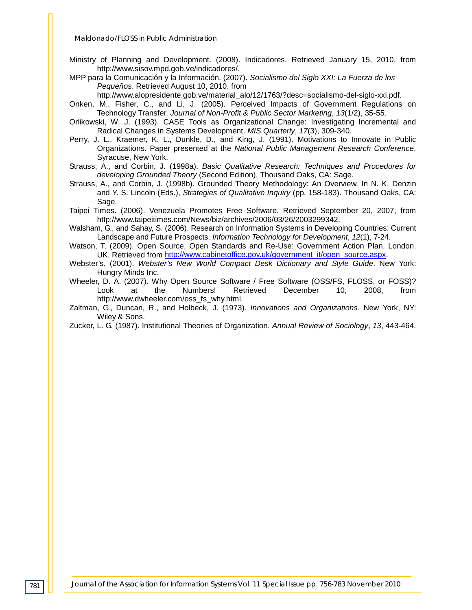*Maldonado/FLOSS in Public Administration*

Ministry of Planning and Development. (2008). Indicadores. Retrieved January 15, 2010, from http://www.sisov.mpd.gob.ve/indicadores/.

MPP para la Comunicación y la Información. (2007). *Socialismo del Siglo XXI: La Fuerza de los Pequeños*. Retrieved August 10, 2010, from

http://www.alopresidente.gob.ve/material\_alo/12/1763/?desc=socialismo-del-siglo-xxi.pdf.

Onken, M., Fisher, C., and Li, J. (2005). Perceived Impacts of Government Regulations on Technology Transfer. *Journal of Non-Profit & Public Sector Marketing*, *13*(1/2), 35-55.

Orlikowski, W. J. (1993). CASE Tools as Organizational Change: Investigating Incremental and Radical Changes in Systems Development. *MIS Quarterly*, *17*(3), 309-340.

Perry, J. L., Kraemer, K. L., Dunkle, D., and King, J. (1991). Motivations to Innovate in Public Organizations. Paper presented at the *National Public Management Research Conference*. Syracuse, New York.

Strauss, A., and Corbin, J. (1998a). *Basic Qualitative Research: Techniques and Procedures for developing Grounded Theory* (Second Edition). Thousand Oaks, CA: Sage.

Strauss, A., and Corbin, J. (1998b). Grounded Theory Methodology: An Overview. In N. K. Denzin and Y. S. Lincoln (Eds.), *Strategies of Qualitative Inquiry* (pp. 158-183). Thousand Oaks, CA: Sage.

Taipei Times. (2006). Venezuela Promotes Free Software. Retrieved September 20, 2007, from http://www.taipeitimes.com/News/biz/archives/2006/03/26/2003299342.

Walsham, G., and Sahay, S. (2006). Research on Information Systems in Developing Countries: Current Landscape and Future Prospects. *Information Technology for Development*, *12*(1), 7-24.

Watson, T. (2009). Open Source, Open Standards and Re-Use: Government Action Plan. London. UK. Retrieved from [http://www.cabinetoffice.gov.uk/government\\_it/open\\_source.aspx.](http://www.cabinetoffice.gov.uk/government_it/open_source.aspx)

Webster's. (2001). *Webster's New World Compact Desk Dictionary and Style Guide*. New York: Hungry Minds Inc.

Wheeler, D. A. (2007). Why Open Source Software / Free Software (OSS/FS, FLOSS, or FOSS)? Look at the Numbers! Retrieved December 10, 2008, from http://www.dwheeler.com/oss\_fs\_why.html.

Zaltman, G., Duncan, R., and Holbeck, J. (1973). *Innovations and Organizations*. New York, NY: Wiley & Sons.

Zucker, L. G. (1987). Institutional Theories of Organization. *Annual Review of Sociology*, *13*, 443-464.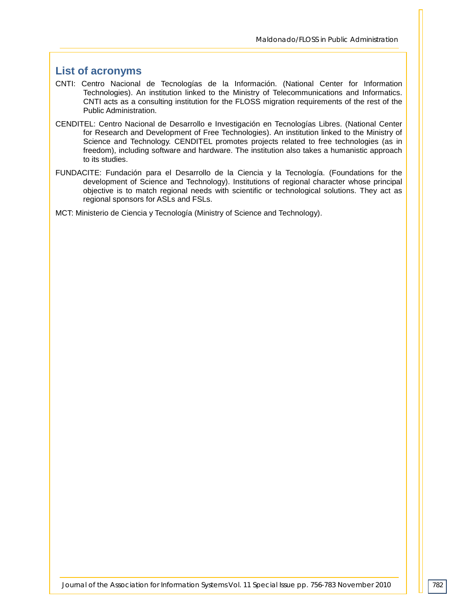# **List of acronyms**

- CNTI: Centro Nacional de Tecnologías de la Información. (National Center for Information Technologies). An institution linked to the Ministry of Telecommunications and Informatics. CNTI acts as a consulting institution for the FLOSS migration requirements of the rest of the Public Administration.
- CENDITEL: Centro Nacional de Desarrollo e Investigación en Tecnologías Libres. (National Center for Research and Development of Free Technologies). An institution linked to the Ministry of Science and Technology. CENDITEL promotes projects related to free technologies (as in freedom), including software and hardware. The institution also takes a humanistic approach to its studies.
- FUNDACITE: Fundación para el Desarrollo de la Ciencia y la Tecnología. (Foundations for the development of Science and Technology). Institutions of regional character whose principal objective is to match regional needs with scientific or technological solutions. They act as regional sponsors for ASLs and FSLs.

MCT: Ministerio de Ciencia y Tecnología (Ministry of Science and Technology).